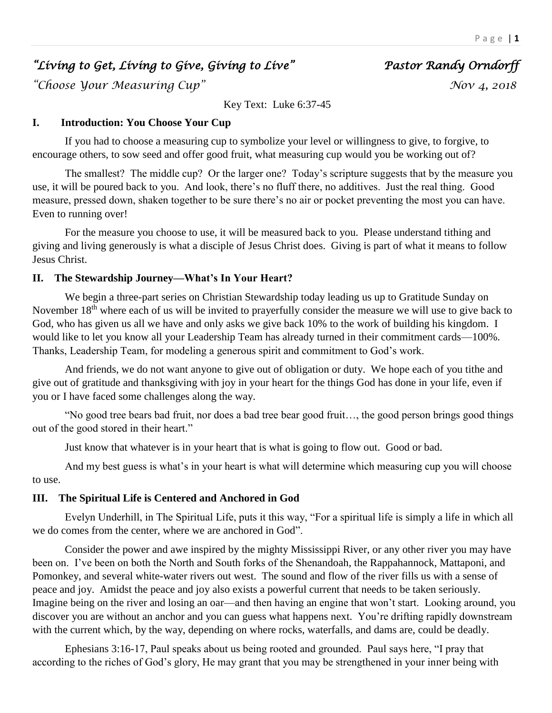# *"Living to Get, Living to Give, Giving to Live" Pastor Randy Orndorff*

*"Choose Your Measuring Cup" Nov 4, 2018* 

Key Text: Luke 6:37-45

# **I. Introduction: You Choose Your Cup**

If you had to choose a measuring cup to symbolize your level or willingness to give, to forgive, to encourage others, to sow seed and offer good fruit, what measuring cup would you be working out of?

The smallest? The middle cup? Or the larger one? Today's scripture suggests that by the measure you use, it will be poured back to you. And look, there's no fluff there, no additives. Just the real thing. Good measure, pressed down, shaken together to be sure there's no air or pocket preventing the most you can have. Even to running over!

For the measure you choose to use, it will be measured back to you. Please understand tithing and giving and living generously is what a disciple of Jesus Christ does. Giving is part of what it means to follow Jesus Christ.

## **II. The Stewardship Journey—What's In Your Heart?**

We begin a three-part series on Christian Stewardship today leading us up to Gratitude Sunday on November 18<sup>th</sup> where each of us will be invited to prayerfully consider the measure we will use to give back to God, who has given us all we have and only asks we give back 10% to the work of building his kingdom. I would like to let you know all your Leadership Team has already turned in their commitment cards—100%. Thanks, Leadership Team, for modeling a generous spirit and commitment to God's work.

And friends, we do not want anyone to give out of obligation or duty. We hope each of you tithe and give out of gratitude and thanksgiving with joy in your heart for the things God has done in your life, even if you or I have faced some challenges along the way.

"No good tree bears bad fruit, nor does a bad tree bear good fruit…, the good person brings good things out of the good stored in their heart."

Just know that whatever is in your heart that is what is going to flow out. Good or bad.

And my best guess is what's in your heart is what will determine which measuring cup you will choose to use.

# **III. The Spiritual Life is Centered and Anchored in God**

Evelyn Underhill, in The Spiritual Life, puts it this way, "For a spiritual life is simply a life in which all we do comes from the center, where we are anchored in God".

Consider the power and awe inspired by the mighty Mississippi River, or any other river you may have been on. I've been on both the North and South forks of the Shenandoah, the Rappahannock, Mattaponi, and Pomonkey, and several white-water rivers out west. The sound and flow of the river fills us with a sense of peace and joy. Amidst the peace and joy also exists a powerful current that needs to be taken seriously. Imagine being on the river and losing an oar—and then having an engine that won't start. Looking around, you discover you are without an anchor and you can guess what happens next. You're drifting rapidly downstream with the current which, by the way, depending on where rocks, waterfalls, and dams are, could be deadly.

Ephesians 3:16-17, Paul speaks about us being rooted and grounded. Paul says here, "I pray that according to the riches of God's glory, He may grant that you may be strengthened in your inner being with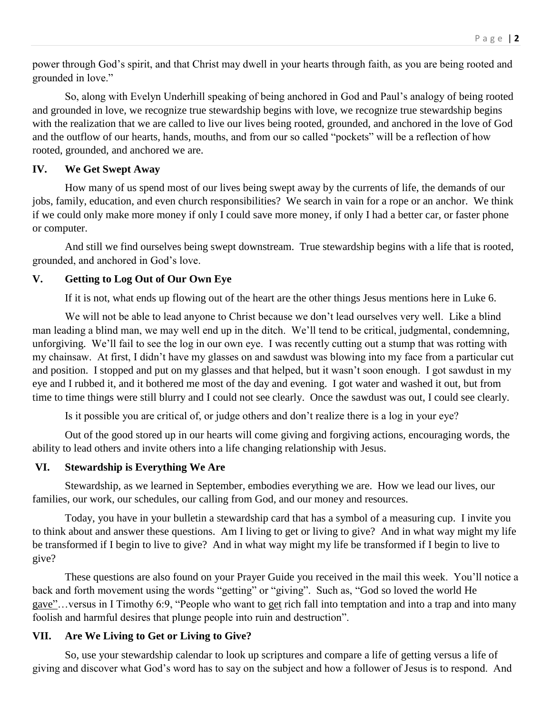power through God's spirit, and that Christ may dwell in your hearts through faith, as you are being rooted and grounded in love."

So, along with Evelyn Underhill speaking of being anchored in God and Paul's analogy of being rooted and grounded in love, we recognize true stewardship begins with love, we recognize true stewardship begins with the realization that we are called to live our lives being rooted, grounded, and anchored in the love of God and the outflow of our hearts, hands, mouths, and from our so called "pockets" will be a reflection of how rooted, grounded, and anchored we are.

#### **IV. We Get Swept Away**

How many of us spend most of our lives being swept away by the currents of life, the demands of our jobs, family, education, and even church responsibilities? We search in vain for a rope or an anchor. We think if we could only make more money if only I could save more money, if only I had a better car, or faster phone or computer.

And still we find ourselves being swept downstream. True stewardship begins with a life that is rooted, grounded, and anchored in God's love.

#### **V. Getting to Log Out of Our Own Eye**

If it is not, what ends up flowing out of the heart are the other things Jesus mentions here in Luke 6.

We will not be able to lead anyone to Christ because we don't lead ourselves very well. Like a blind man leading a blind man, we may well end up in the ditch. We'll tend to be critical, judgmental, condemning, unforgiving. We'll fail to see the log in our own eye. I was recently cutting out a stump that was rotting with my chainsaw. At first, I didn't have my glasses on and sawdust was blowing into my face from a particular cut and position. I stopped and put on my glasses and that helped, but it wasn't soon enough. I got sawdust in my eye and I rubbed it, and it bothered me most of the day and evening. I got water and washed it out, but from time to time things were still blurry and I could not see clearly. Once the sawdust was out, I could see clearly.

Is it possible you are critical of, or judge others and don't realize there is a log in your eye?

Out of the good stored up in our hearts will come giving and forgiving actions, encouraging words, the ability to lead others and invite others into a life changing relationship with Jesus.

### **VI. Stewardship is Everything We Are**

Stewardship, as we learned in September, embodies everything we are. How we lead our lives, our families, our work, our schedules, our calling from God, and our money and resources.

Today, you have in your bulletin a stewardship card that has a symbol of a measuring cup. I invite you to think about and answer these questions. Am I living to get or living to give? And in what way might my life be transformed if I begin to live to give? And in what way might my life be transformed if I begin to live to give?

These questions are also found on your Prayer Guide you received in the mail this week. You'll notice a back and forth movement using the words "getting" or "giving". Such as, "God so loved the world He gave"…versus in I Timothy 6:9, "People who want to get rich fall into temptation and into a trap and into many foolish and harmful desires that plunge people into ruin and destruction".

#### **VII. Are We Living to Get or Living to Give?**

So, use your stewardship calendar to look up scriptures and compare a life of getting versus a life of giving and discover what God's word has to say on the subject and how a follower of Jesus is to respond. And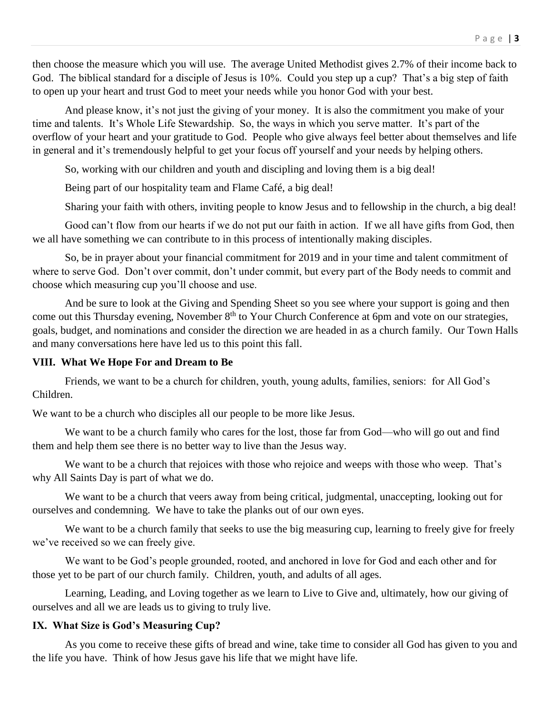then choose the measure which you will use. The average United Methodist gives 2.7% of their income back to God. The biblical standard for a disciple of Jesus is 10%. Could you step up a cup? That's a big step of faith to open up your heart and trust God to meet your needs while you honor God with your best.

And please know, it's not just the giving of your money. It is also the commitment you make of your time and talents. It's Whole Life Stewardship. So, the ways in which you serve matter. It's part of the overflow of your heart and your gratitude to God. People who give always feel better about themselves and life in general and it's tremendously helpful to get your focus off yourself and your needs by helping others.

So, working with our children and youth and discipling and loving them is a big deal!

Being part of our hospitality team and Flame Café, a big deal!

Sharing your faith with others, inviting people to know Jesus and to fellowship in the church, a big deal!

Good can't flow from our hearts if we do not put our faith in action. If we all have gifts from God, then we all have something we can contribute to in this process of intentionally making disciples.

So, be in prayer about your financial commitment for 2019 and in your time and talent commitment of where to serve God. Don't over commit, don't under commit, but every part of the Body needs to commit and choose which measuring cup you'll choose and use.

And be sure to look at the Giving and Spending Sheet so you see where your support is going and then come out this Thursday evening, November 8<sup>th</sup> to Your Church Conference at 6pm and vote on our strategies, goals, budget, and nominations and consider the direction we are headed in as a church family. Our Town Halls and many conversations here have led us to this point this fall.

#### **VIII. What We Hope For and Dream to Be**

Friends, we want to be a church for children, youth, young adults, families, seniors: for All God's Children.

We want to be a church who disciples all our people to be more like Jesus.

We want to be a church family who cares for the lost, those far from God—who will go out and find them and help them see there is no better way to live than the Jesus way.

We want to be a church that rejoices with those who rejoice and weeps with those who weep. That's why All Saints Day is part of what we do.

We want to be a church that veers away from being critical, judgmental, unaccepting, looking out for ourselves and condemning. We have to take the planks out of our own eyes.

We want to be a church family that seeks to use the big measuring cup, learning to freely give for freely we've received so we can freely give.

We want to be God's people grounded, rooted, and anchored in love for God and each other and for those yet to be part of our church family. Children, youth, and adults of all ages.

Learning, Leading, and Loving together as we learn to Live to Give and, ultimately, how our giving of ourselves and all we are leads us to giving to truly live.

#### **IX. What Size is God's Measuring Cup?**

As you come to receive these gifts of bread and wine, take time to consider all God has given to you and the life you have. Think of how Jesus gave his life that we might have life.